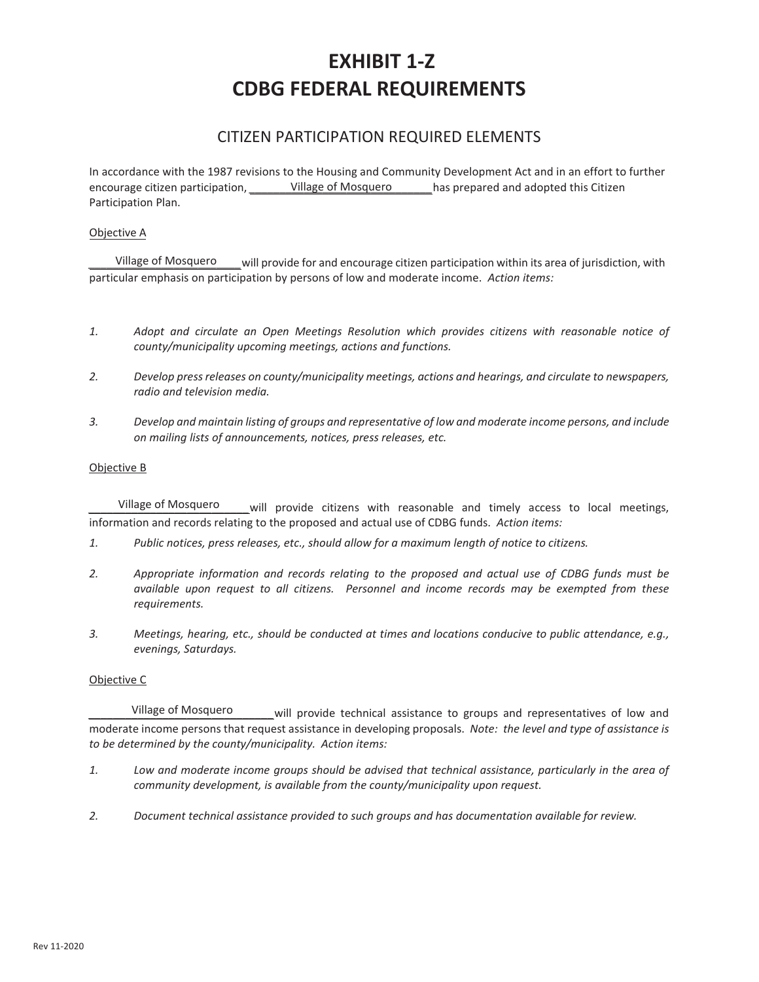# **EXHIBIT 1- CDBG FEDERAL REQUIREMENTS**

# CITIZEN PARTICIPATION REQUIRED ELEMENTS

In accordance with the 1987 revisions to the Housing and Community Development Act and in an effort to further encourage citizen participation, *\_\_\_\_\_\_\_\_\_\_ Village of Mosquero* \_\_\_\_\_\_\_\_ has prepared and adopted this Citizen Participation Plan. Village of Mosquero

#### Objective A

*\_\_\_\_\_\_\_\_\_\_\_\_\_\_\_\_\_\_\_\_\_\_\_\_\_*will provide for and encourage citizen participation within its area of jurisdiction, with particular emphasis on participation by persons of low and moderate income. *Action items:*  Village of Mosquero

- *1. Adopt and circulate an Open Meetings Resolution which provides citizens with reasonable notice of county/municipality upcoming meetings, actions and functions.*
- *2. Develop press releases on county/municipality meetings, actions and hearings, and circulate to newspapers, radio and television media.*
- *3. Develop and maintain listing of groups and representative of low and moderate income persons, and include on mailing lists of announcements, notices, press releases, etc.*

#### Objective B

will provide citizens with reasonable and timely access to local meetings, information and records relating to the proposed and actual use of CDBG funds. *Action items:*  Village of Mosquero

- *1. Public notices, press releases, etc., should allow for a maximum length of notice to citizens.*
- *2. Appropriate information and records relating to the proposed and actual use of CDBG funds must be available upon request to all citizens. Personnel and income records may be exempted from these requirements.*
- *3. Meetings, hearing, etc., should be conducted at times and locations conducive to public attendance, e.g., evenings, Saturdays.*

#### Objective C

will provide technical assistance to groups and representatives of low and moderate income persons that request assistance in developing proposals. *Note: the level and type of assistance is to be determined by the county/municipality. Action items:*  Village of Mosquero

- *1. Low and moderate income groups should be advised that technical assistance, particularly in the area of community development, is available from the county/municipality upon request.*
- *2. Document technical assistance provided to such groups and has documentation available for review.*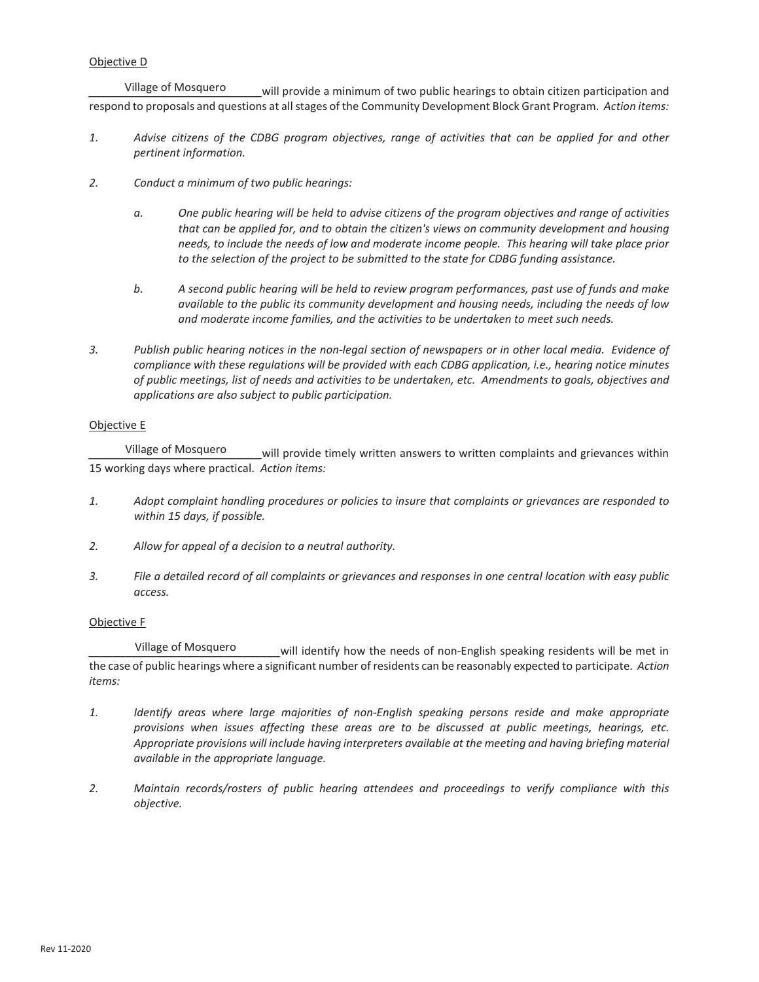#### Objective D

*\_\_\_\_\_\_\_\_\_\_\_\_\_\_\_\_\_\_\_\_\_\_\_\_\_\_\_\_*will provide a minimum of two public hearings to obtain citizen participation and respond to proposals and questions at all stages of the Community Development Block Grant Program. *Action items:*  Village of Mosquero

- *1. Advise citizens of the CDBG program objectives, range of activities that can be applied for and other pertinent information.*
- *2. Conduct a minimum of two public hearings:*
	- *a. One public hearing will be held to advise citizens of the program objectives and range of activities that can be applied for, and to obtain the citizen's views on community development and housing needs, to include the needs of low and moderate income people. This hearing will take place prior to the selection of the project to be submitted to the state for CDBG funding assistance.*
	- *b. A second public hearing will be held to review program performances, past use of funds and make available to the public its community development and housing needs, including the needs of low and moderate income families, and the activities to be undertaken to meet such needs.*
- *3. Publish public hearing notices in the non-legal section of newspapers or in other local media. Evidence of compliance with these regulations will be provided with each CDBG application, i.e., hearing notice minutes of public meetings, list of needs and activities to be undertaken, etc. Amendments to goals, objectives and applications are also subject to public participation.*

#### Objective E

will provide timely written answers to written complaints and grievances within 15 working days where practical. *Action items:*  Village of Mosquero

- *1. Adopt complaint handling procedures or policies to insure that complaints or grievances are responded to within 15 days, if possible.*
- *2. Allow for appeal of a decision to a neutral authority.*
- *3. File a detailed record of all complaints or grievances and responses in one central location with easy public access.*

#### Objective F

will identify how the needs of non-English speaking residents will be met in the case of public hearings where a significant number of residents can be reasonably expected to participate. *Action items:*  Village of Mosquero

- *1. Identify areas where large majorities of non-English speaking persons reside and make appropriate provisions when issues affecting these areas are to be discussed at public meetings, hearings, etc. Appropriate provisions will include having interpreters available at the meeting and having briefing material available in the appropriate language.*
- *2. Maintain records/rosters of public hearing attendees and proceedings to verify compliance with this objective.*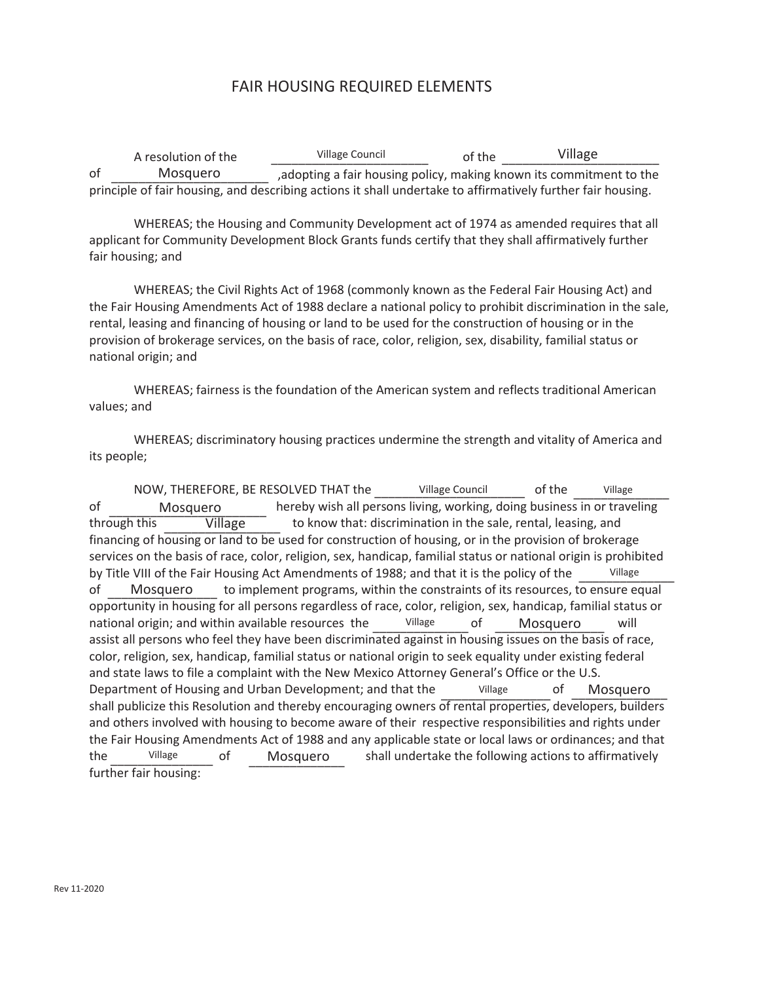# FAIR HOUSING REQUIRED ELEMENTS

A resolution of the of of the ,adopting a fair housing policy, making known its commitment to the principle of fair housing, and describing actions it shall undertake to affirmatively further fair housing. \_\_\_\_\_\_\_\_\_\_\_\_\_\_\_\_\_\_\_\_\_\_\_ \_\_\_\_\_\_\_\_\_\_\_\_\_\_\_\_\_\_\_\_\_\_\_ \_\_\_\_\_\_\_\_\_\_\_\_\_\_\_\_\_\_\_\_\_\_\_ Mosquero Village Council **Village** Council **Village** 

WHEREAS; the Housing and Community Development act of 1974 as amended requires that all applicant for Community Development Block Grants funds certify that they shall affirmatively further fair housing; and

WHEREAS; the Civil Rights Act of 1968 (commonly known as the Federal Fair Housing Act) and the Fair Housing Amendments Act of 1988 declare a national policy to prohibit discrimination in the sale, rental, leasing and financing of housing or land to be used for the construction of housing or in the provision of brokerage services, on the basis of race, color, religion, sex, disability, familial status or national origin; and

WHEREAS; fairness is the foundation of the American system and reflects traditional American values; and

WHEREAS; discriminatory housing practices undermine the strength and vitality of America and its people;

NOW, THEREFORE, BE RESOLVED THAT the village Council of the of hereby wish all persons living, working, doing business in or traveling through this Village to know that: discrimination in the sale, rental, leasing, and financing of housing or land to be used for construction of housing, or in the provision of brokerage services on the basis of race, color, religion, sex, handicap, familial status or national origin is prohibited by Title VIII of the Fair Housing Act Amendments of 1988; and that it is the policy of the of to implement programs, within the constraints of its resources, to ensure equal opportunity in housing for all persons regardless of race, color, religion, sex, handicap, familial status or national origin; and within available resources the Village of Mosquero will assist all persons who feel they have been discriminated against in housing issues on the basis of race, color, religion, sex, handicap, familial status or national origin to seek equality under existing federal and state laws to file a complaint with the New Mexico Attorney General's Office or the U.S. Department of Housing and Urban Development; and that the village of shall publicize this Resolution and thereby encouraging owners of rental properties, developers, builders and others involved with housing to become aware of their respective responsibilities and rights under the Fair Housing Amendments Act of 1988 and any applicable state or local laws or ordinances; and that the Village of Mosquero shall undertake the following actions to affirmatively further fair housing: \_\_\_\_\_\_\_\_\_\_\_\_\_\_\_\_\_\_\_\_\_\_ \_\_\_\_\_\_\_\_\_\_\_\_\_\_ Village Council Village \_\_\_\_\_\_\_\_\_\_\_\_\_\_\_\_\_\_\_\_\_\_\_ Mosquero **Later Controlling Contract Controller** \_\_\_\_\_\_\_\_\_\_\_\_\_\_ Village \_\_\_\_\_\_\_\_\_\_\_\_\_\_\_\_ Mosquero \_\_\_\_\_\_\_\_\_\_\_\_\_\_ \_\_\_\_\_\_\_\_\_\_\_\_\_\_\_\_ Village Mosquero <u>Uillage of</u> Mosquero Village of Mosquero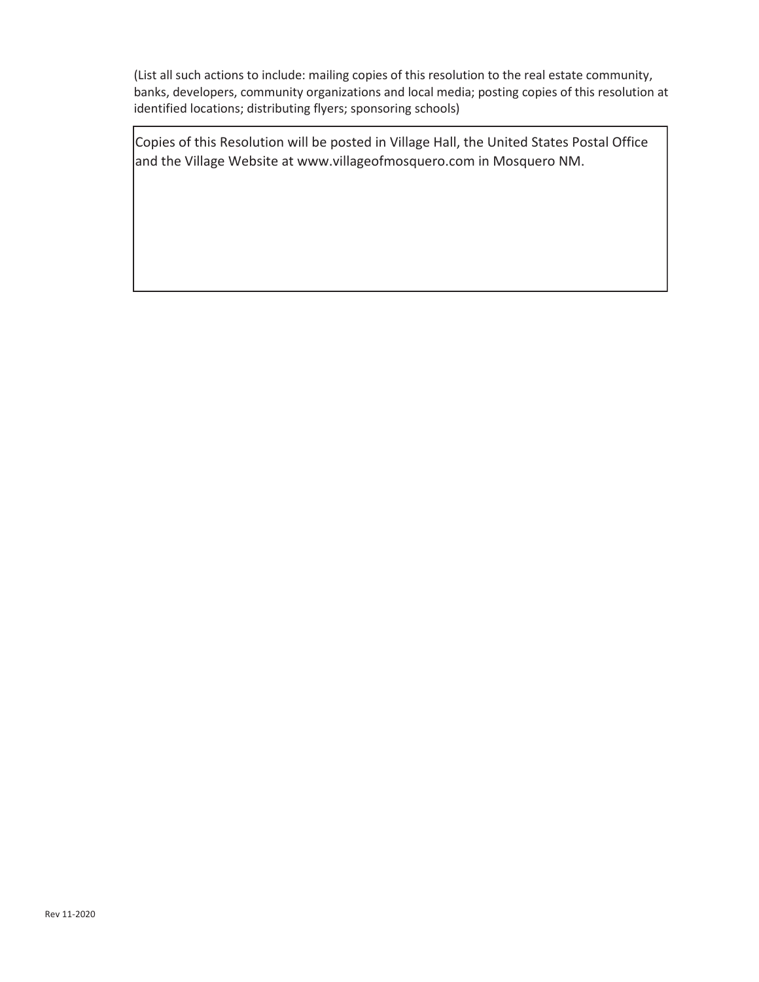(List all such actions to include: mailing copies of this resolution to the real estate community, banks, developers, community organizations and local media; posting copies of this resolution at identified locations; distributing flyers; sponsoring schools)

Copies of this Resolution will be posted in Village Hall, the United States Postal Office and the Village Website at www.villageofmosquero.com in Mosquero NM.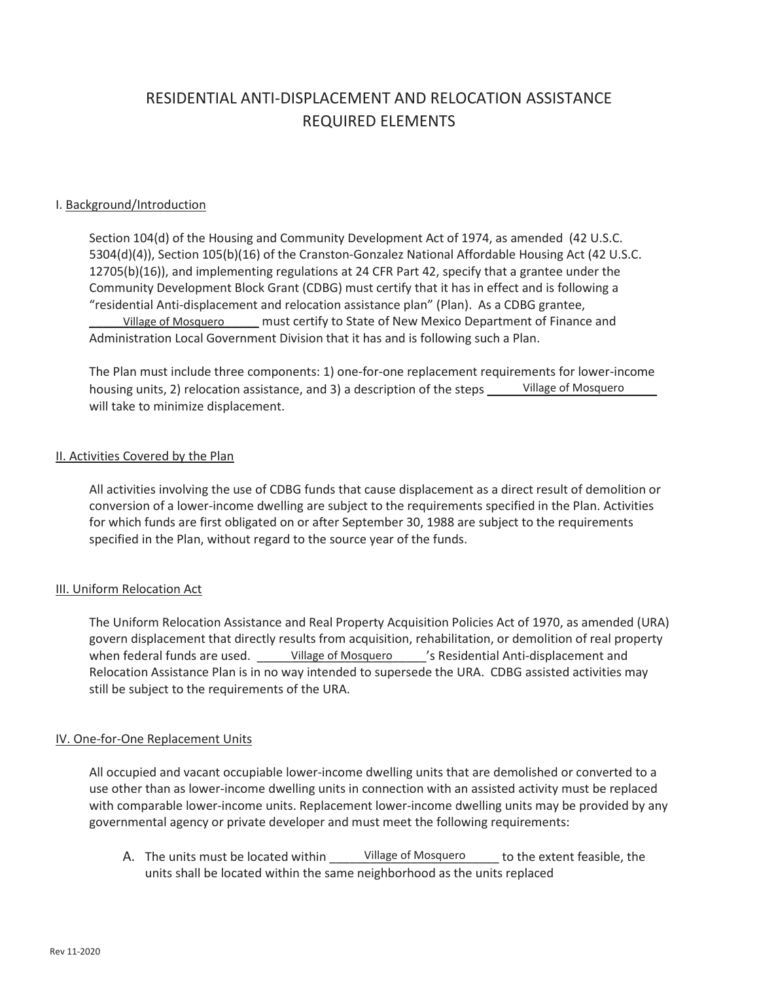# RESIDENTIAL ANTI-DISPLACEMENT AND RELOCATION ASSISTANCE **REQUIRED ELEMENTS**

### I. Background/Introduction

Section 104(d) of the Housing and Community Development Act of 1974, as amended (42 U.S.C. 5304(d)(4)), Section 105(b)(16) of the Cranston-Gonzalez National Affordable Housing Act (42 U.S.C. 12705(b)(16)), and implementing regulations at 24 CFR Part 42, specify that a grantee under the Community Development Block Grant (CDBG) must certify that it has in effect and is following a "residential Anti-displacement and relocation assistance plan" (Plan). As a CDBG grantee, **\_\_\_\_\_\_\_\_\_\_\_\_\_\_\_\_\_\_\_\_\_\_\_\_\_** must certify to State of New Mexico Department of Finance and Village of Mosquero Administration Local Government Division that it has and is following such a Plan.

The Plan must include three components: 1) one-for-one replacement requirements for lower-income housing units, 2) relocation assistance, and 3) a description of the steps \_\_\_\_\_\_Village of Mosquero will take to minimize displacement.

#### II. Activities Covered by the Plan

All activities involving the use of CDBG funds that cause displacement as a direct result of demolition or conversion of a lower-income dwelling are subject to the requirements specified in the Plan. Activities for which funds are first obligated on or after September 30, 1988 are subject to the requirements specified in the Plan, without regard to the source year of the funds.

## III. Uniform Relocation Act

The Uniform Relocation Assistance and Real Property Acquisition Policies Act of 1970, as amended (URA) govern displacement that directly results from acquisition, rehabilitation, or demolition of real property when federal funds are used. \_\_\_\_\_\_Village of Mosquero \_\_\_\_\_'s Residential Anti-displacement and Relocation Assistance Plan is in no way intended to supersede the URA. CDBG assisted activities may still be subject to the requirements of the URA.

#### IV. One-for-One Replacement Units

All occupied and vacant occupiable lower-income dwelling units that are demolished or converted to a use other than as lower-income dwelling units in connection with an assisted activity must be replaced with comparable lower-income units. Replacement lower-income dwelling units may be provided by any governmental agency or private developer and must meet the following requirements:

A. The units must be located within \_\_\_\_\_\_Village of Mosquero \_\_\_\_\_ to the extent feasible, the units shall be located within the same neighborhood as the units replaced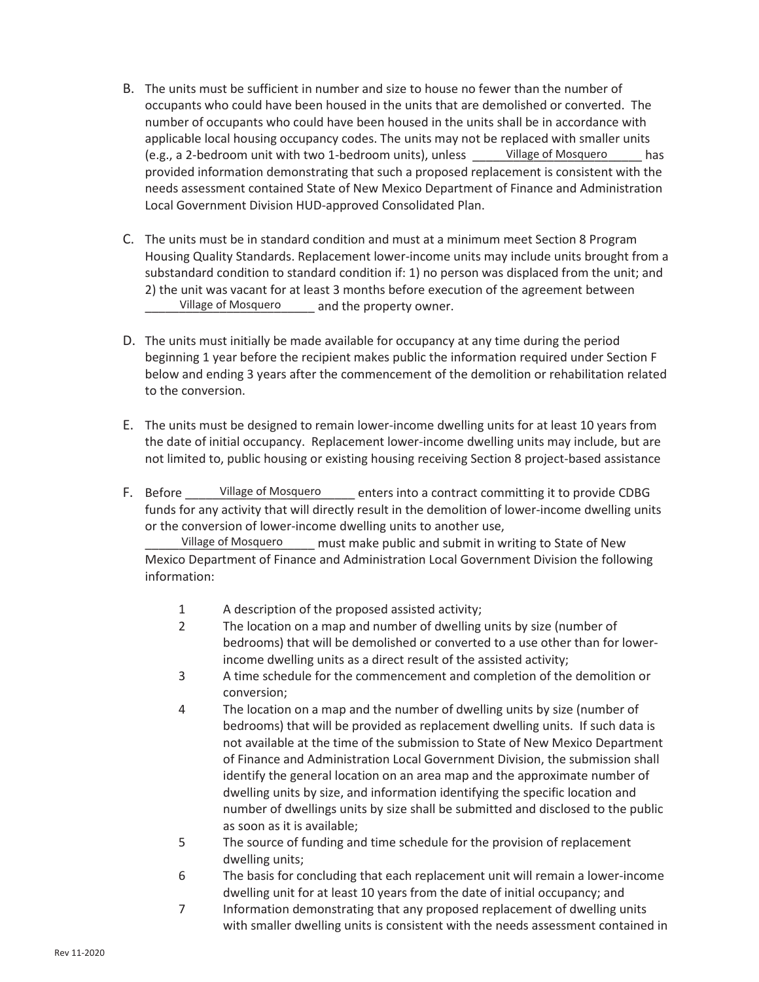- B. The units must be sufficient in number and size to house no fewer than the number of occupants who could have been housed in the units that are demolished or converted. The number of occupants who could have been housed in the units shall be in accordance with applicable local housing occupancy codes. The units may not be replaced with smaller units (e.g., a 2-bedroom unit with two 1-bedroom units), unless \_\_\_\_\_\_Village of Mosquero \_\_\_\_\_\_ has provided information demonstrating that such a proposed replacement is consistent with the needs assessment contained State of New Mexico Department of Finance and Administration Local Government Division HUD-approved Consolidated Plan.
- C. The units must be in standard condition and must at a minimum meet Section 8 Program Housing Quality Standards. Replacement lower-income units may include units brought from a substandard condition to standard condition if: 1) no person was displaced from the unit; and 2) the unit was vacant for at least 3 months before execution of the agreement between \_\_\_\_\_\_\_\_\_\_\_\_\_\_\_\_\_\_\_\_\_\_\_\_\_ and the property owner. Village of Mosquero
- D. The units must initially be made available for occupancy at any time during the period beginning 1 year before the recipient makes public the information required under Section F below and ending 3 years after the commencement of the demolition or rehabilitation related to the conversion.
- E. The units must be designed to remain lower-income dwelling units for at least 10 years from the date of initial occupancy. Replacement lower-income dwelling units may include, but are not limited to, public housing or existing housing receiving Section 8 project-based assistance
- F. Before Village of Mosquero enters into a contract committing it to provide CDBG funds for any activity that will directly result in the demolition of lower-income dwelling units or the conversion of lower-income dwelling units to another use, Village of Mosquero

\_\_\_\_\_\_\_\_\_\_\_\_\_\_\_\_\_\_\_\_\_\_\_\_\_ must make public and submit in writing to State of New Mexico Department of Finance and Administration Local Government Division the following information: Village of Mosquero

- 1 A description of the proposed assisted activity;
- 2 The location on a map and number of dwelling units by size (number of bedrooms) that will be demolished or converted to a use other than for lowerincome dwelling units as a direct result of the assisted activity;
- 3 A time schedule for the commencement and completion of the demolition or conversion;
- 4 The location on a map and the number of dwelling units by size (number of bedrooms) that will be provided as replacement dwelling units. If such data is not available at the time of the submission to State of New Mexico Department of Finance and Administration Local Government Division, the submission shall identify the general location on an area map and the approximate number of dwelling units by size, and information identifying the specific location and number of dwellings units by size shall be submitted and disclosed to the public as soon as it is available;
- 5 The source of funding and time schedule for the provision of replacement dwelling units;
- 6 The basis for concluding that each replacement unit will remain a lower-income dwelling unit for at least 10 years from the date of initial occupancy; and
- 7 Information demonstrating that any proposed replacement of dwelling units with smaller dwelling units is consistent with the needs assessment contained in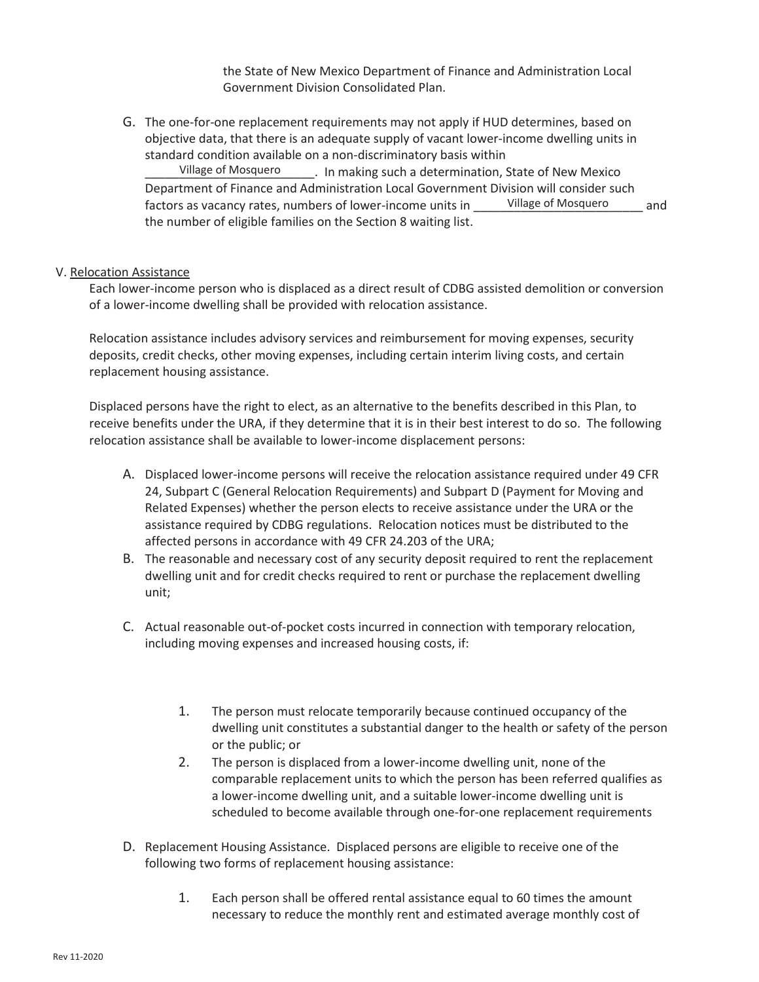the State of New Mexico Department of Finance and Administration Local Government Division Consolidated Plan.

G. The one-for-one replacement requirements may not apply if HUD determines, based on objective data, that there is an adequate supply of vacant lower-income dwelling units in standard condition available on a non-discriminatory basis within

\_\_\_\_\_\_\_\_\_\_\_\_\_\_\_\_\_\_\_\_\_\_\_\_\_. In making such a determination, State of New Mexico Department of Finance and Administration Local Government Division will consider such factors as vacancy rates, numbers of lower-income units in Taillage of Mosquero and the number of eligible families on the Section 8 waiting list. Village of Mosquero Village of Mosquero

#### V. Relocation Assistance

Each lower-income person who is displaced as a direct result of CDBG assisted demolition or conversion of a lower-income dwelling shall be provided with relocation assistance.

Relocation assistance includes advisory services and reimbursement for moving expenses, security deposits, credit checks, other moving expenses, including certain interim living costs, and certain replacement housing assistance.

Displaced persons have the right to elect, as an alternative to the benefits described in this Plan, to receive benefits under the URA, if they determine that it is in their best interest to do so. The following relocation assistance shall be available to lower-income displacement persons:

- A. Displaced lower-income persons will receive the relocation assistance required under 49 CFR 24, Subpart C (General Relocation Requirements) and Subpart D (Payment for Moving and Related Expenses) whether the person elects to receive assistance under the URA or the assistance required by CDBG regulations. Relocation notices must be distributed to the affected persons in accordance with 49 CFR 24.203 of the URA;
- B. The reasonable and necessary cost of any security deposit required to rent the replacement dwelling unit and for credit checks required to rent or purchase the replacement dwelling unit;
- C. Actual reasonable out-of-pocket costs incurred in connection with temporary relocation, including moving expenses and increased housing costs, if:
	- 1. The person must relocate temporarily because continued occupancy of the dwelling unit constitutes a substantial danger to the health or safety of the person or the public; or
	- 2. The person is displaced from a lower-income dwelling unit, none of the comparable replacement units to which the person has been referred qualifies as a lower-income dwelling unit, and a suitable lower-income dwelling unit is scheduled to become available through one-for-one replacement requirements
- D. Replacement Housing Assistance. Displaced persons are eligible to receive one of the following two forms of replacement housing assistance:
	- 1. Each person shall be offered rental assistance equal to 60 times the amount necessary to reduce the monthly rent and estimated average monthly cost of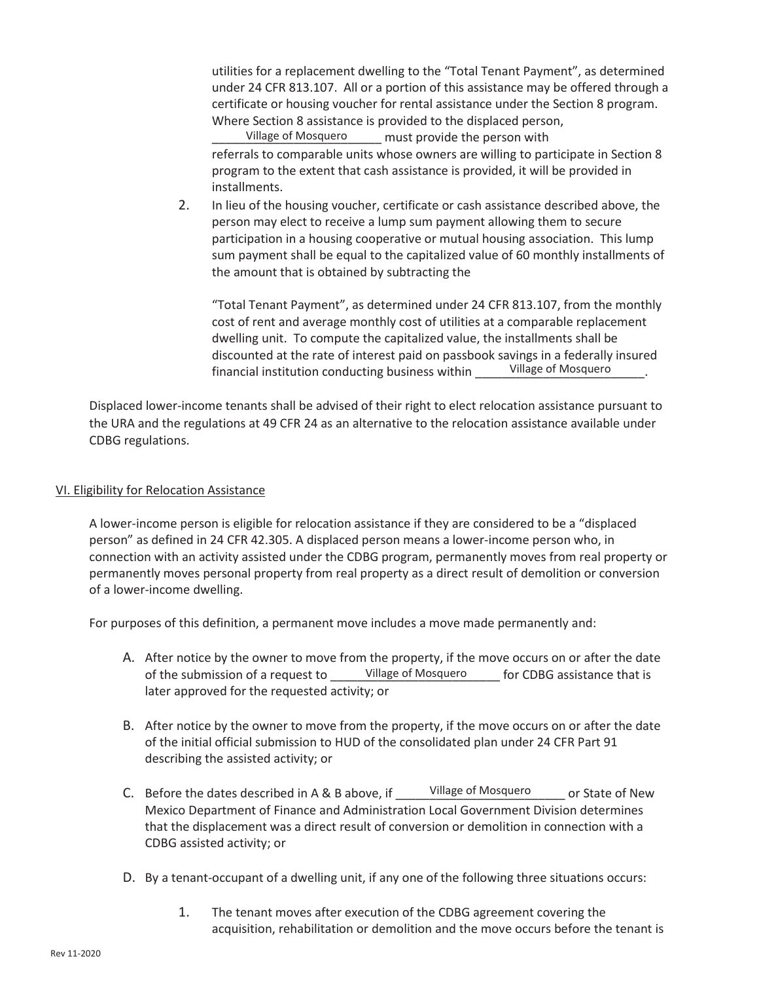utilities for a replacement dwelling to the "Total Tenant Payment", as determined under 24 CFR 813.107. All or a portion of this assistance may be offered through a certificate or housing voucher for rental assistance under the Section 8 program. Where Section 8 assistance is provided to the displaced person,

\_\_\_\_\_\_\_\_\_\_\_\_\_\_\_\_\_\_\_\_\_\_\_\_\_ must provide the person with referrals to comparable units whose owners are willing to participate in Section 8 program to the extent that cash assistance is provided, it will be provided in installments. Village of Mosquero

2. In lieu of the housing voucher, certificate or cash assistance described above, the person may elect to receive a lump sum payment allowing them to secure participation in a housing cooperative or mutual housing association. This lump sum payment shall be equal to the capitalized value of 60 monthly installments of the amount that is obtained by subtracting the

"Total Tenant Payment", as determined under 24 CFR 813.107, from the monthly cost of rent and average monthly cost of utilities at a comparable replacement dwelling unit. To compute the capitalized value, the installments shall be discounted at the rate of interest paid on passbook savings in a federally insured financial institution conducting business within Village of Mosquero

Displaced lower-income tenants shall be advised of their right to elect relocation assistance pursuant to the URA and the regulations at 49 CFR 24 as an alternative to the relocation assistance available under CDBG regulations.

# VI. Eligibility for Relocation Assistance

A lower-income person is eligible for relocation assistance if they are considered to be a "displaced person" as defined in 24 CFR 42.305. A displaced person means a lower-income person who, in connection with an activity assisted under the CDBG program, permanently moves from real property or permanently moves personal property from real property as a direct result of demolition or conversion of a lower-income dwelling.

For purposes of this definition, a permanent move includes a move made permanently and:

- A. After notice by the owner to move from the property, if the move occurs on or after the date of the submission of a request to \_\_\_\_\_\_Village of Mosquero \_\_\_\_\_ for CDBG assistance that is later approved for the requested activity; or
- B. After notice by the owner to move from the property, if the move occurs on or after the date of the initial official submission to HUD of the consolidated plan under 24 CFR Part 91 describing the assisted activity; or
- C. Before the dates described in A & B above, if The Uillage of Mosquero er State of New Mexico Department of Finance and Administration Local Government Division determines that the displacement was a direct result of conversion or demolition in connection with a CDBG assisted activity; or Village of Mosquero
- D. By a tenant-occupant of a dwelling unit, if any one of the following three situations occurs:
	- 1. The tenant moves after execution of the CDBG agreement covering the acquisition, rehabilitation or demolition and the move occurs before the tenant is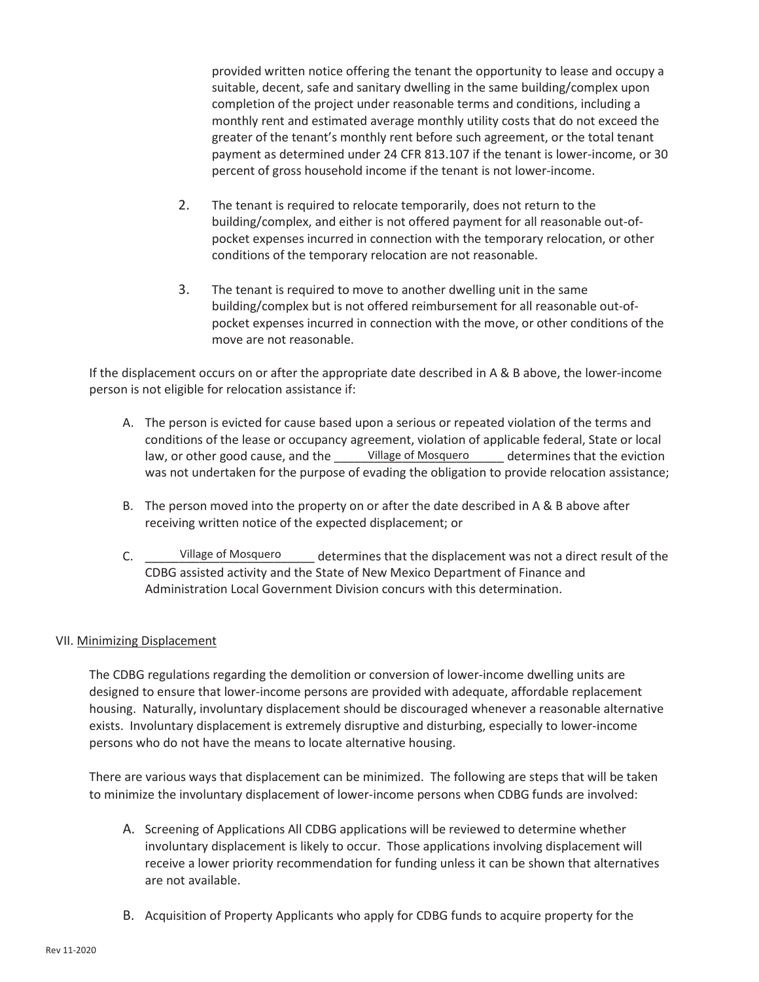provided written notice offering the tenant the opportunity to lease and occupy a suitable, decent, safe and sanitary dwelling in the same building/complex upon completion of the project under reasonable terms and conditions, including a monthly rent and estimated average monthly utility costs that do not exceed the greater of the tenant's monthly rent before such agreement, or the total tenant payment as determined under 24 CFR 813.107 if the tenant is lower-income, or 30 percent of gross household income if the tenant is not lower-income.

- 2. The tenant is required to relocate temporarily, does not return to the building/complex, and either is not offered payment for all reasonable out-ofpocket expenses incurred in connection with the temporary relocation, or other conditions of the temporary relocation are not reasonable.
- 3. The tenant is required to move to another dwelling unit in the same building/complex but is not offered reimbursement for all reasonable out-ofpocket expenses incurred in connection with the move, or other conditions of the move are not reasonable.

If the displacement occurs on or after the appropriate date described in A & B above, the lower-income person is not eligible for relocation assistance if:

- A. The person is evicted for cause based upon a serious or repeated violation of the terms and conditions of the lease or occupancy agreement, violation of applicable federal, State or local law, or other good cause, and the \_\_\_\_\_\_Village of Mosquero \_\_\_\_\_\_ determines that the eviction was not undertaken for the purpose of evading the obligation to provide relocation assistance;
- B. The person moved into the property on or after the date described in A & B above after receiving written notice of the expected displacement; or
- C. Sillage of Mosquero determines that the displacement was not a direct result of the CDBG assisted activity and the State of New Mexico Department of Finance and Administration Local Government Division concurs with this determination. Village of Mosquero

## VII. Minimizing Displacement

The CDBG regulations regarding the demolition or conversion of lower-income dwelling units are designed to ensure that lower-income persons are provided with adequate, affordable replacement housing. Naturally, involuntary displacement should be discouraged whenever a reasonable alternative exists. Involuntary displacement is extremely disruptive and disturbing, especially to lower-income persons who do not have the means to locate alternative housing.

There are various ways that displacement can be minimized. The following are steps that will be taken to minimize the involuntary displacement of lower-income persons when CDBG funds are involved:

- A. Screening of Applications All CDBG applications will be reviewed to determine whether involuntary displacement is likely to occur. Those applications involving displacement will receive a lower priority recommendation for funding unless it can be shown that alternatives are not available.
- B. Acquisition of Property Applicants who apply for CDBG funds to acquire property for the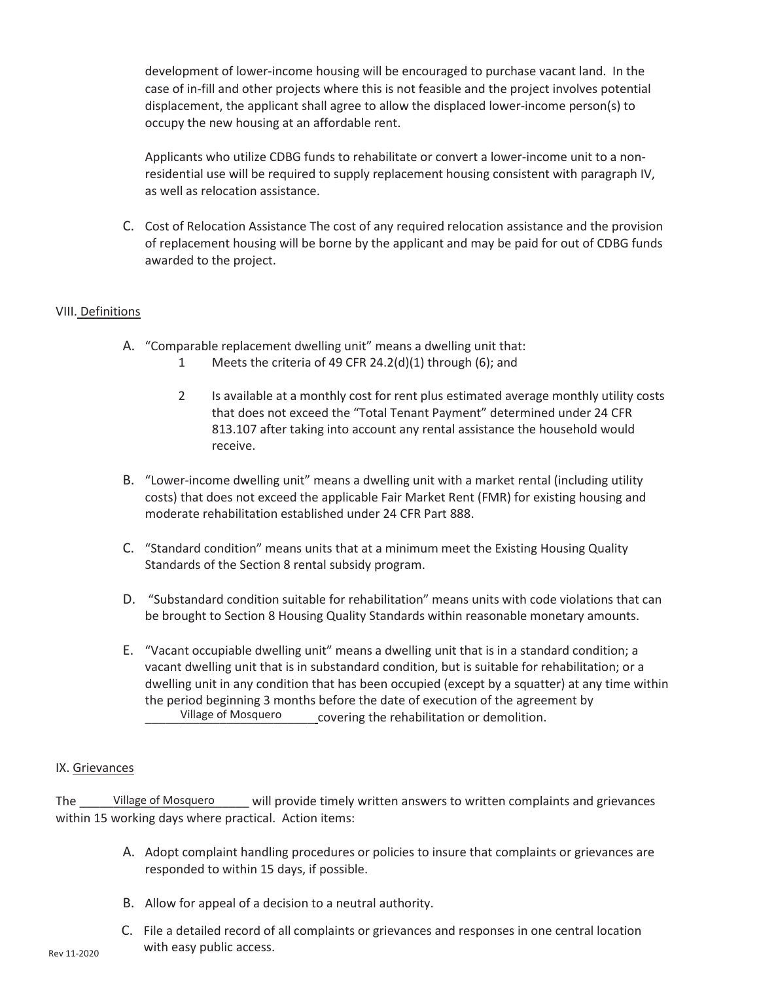development of lower-income housing will be encouraged to purchase vacant land. In the case of in-fill and other projects where this is not feasible and the project involves potential displacement, the applicant shall agree to allow the displaced lower-income person(s) to occupy the new housing at an affordable rent.

Applicants who utilize CDBG funds to rehabilitate or convert a lower-income unit to a nonresidential use will be required to supply replacement housing consistent with paragraph IV, as well as relocation assistance.

C. Cost of Relocation Assistance The cost of any required relocation assistance and the provision of replacement housing will be borne by the applicant and may be paid for out of CDBG funds awarded to the project.

# VIII. Definitions

- A. "Comparable replacement dwelling unit" means a dwelling unit that:
	- 1 Meets the criteria of 49 CFR 24.2(d)(1) through (6); and
	- 2 Is available at a monthly cost for rent plus estimated average monthly utility costs that does not exceed the "Total Tenant Payment" determined under 24 CFR 813.107 after taking into account any rental assistance the household would receive.
- B. "Lower-income dwelling unit" means a dwelling unit with a market rental (including utility costs) that does not exceed the applicable Fair Market Rent (FMR) for existing housing and moderate rehabilitation established under 24 CFR Part 888.
- C. "Standard condition" means units that at a minimum meet the Existing Housing Quality Standards of the Section 8 rental subsidy program.
- D. "Substandard condition suitable for rehabilitation" means units with code violations that can be brought to Section 8 Housing Quality Standards within reasonable monetary amounts.
- E. "Vacant occupiable dwelling unit" means a dwelling unit that is in a standard condition; a vacant dwelling unit that is in substandard condition, but is suitable for rehabilitation; or a dwelling unit in any condition that has been occupied (except by a squatter) at any time within the period beginning 3 months before the date of execution of the agreement by covering the rehabilitation or demolition. Village of Mosquero

## IX. Grievances

The \_\_\_\_\_\_Village of Mosquero \_\_\_\_\_\_ will provide timely written answers to written complaints and grievances within 15 working days where practical. Action items:

- A. Adopt complaint handling procedures or policies to insure that complaints or grievances are responded to within 15 days, if possible.
- B. Allow for appeal of a decision to a neutral authority.
- C. File a detailed record of all complaints or grievances and responses in one central location with easy public access.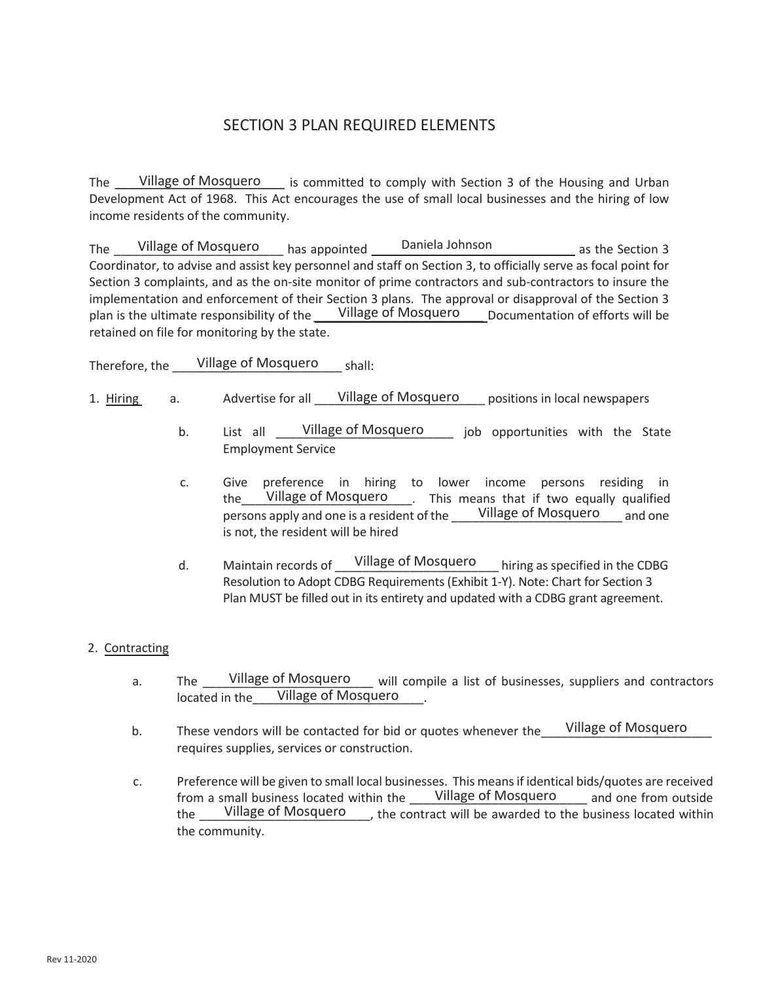# SECTION 3 PLAN REQUIRED ELEMENTS

The <u>Village of Mosquero</u> is committed to comply with Section 3 of the Housing and Urban Development Act of 1968. This Act encourages the use of small local businesses and the hiring of low income residents of the community.

The \_\_\_\_\_Village of Mosquero \_\_\_\_\_\_ has appointed \_\_\_\_\_\_Daniela Johnson \_\_\_\_\_\_\_\_\_\_\_\_\_\_\_ as the Section 3 Coordinator, to advise and assist key personnel and staff on Section 3, to officially serve as focal point for Section 3 complaints, and as the on-site monitor of prime contractors and sub-contractors to insure the implementation and enforcement of their Section 3 plans. The approval or disapproval of the Section 3 plan is the ultimate responsibility of the Willage of Mosquero pocumentation of efforts will be retained on file for monitoring by the state.

Therefore, the Willage of Mosquero shall:

- 1. Hiring a. Advertise for all Village of Mosquero positions in local newspapers
	- b. List all \_\_\_\_\_Village of Mosquero \_\_\_\_\_\_ job opportunities with the State Employment Service
	- c. Give preference in hiring to lower income persons residing in the Village of Mosquero . This means that if two equally qualified persons apply and one is a resident of the \_\_\_\_\_Village of Mosquero \_\_\_\_ and one is not, the resident will be hired
	- d. Maintain records of <u>Village of Mosquero</u> hiring as specified in the CDBG Resolution to Adopt CDBG Requirements (Exhibit 1-Y). Note: Chart for Section 3 Plan MUST be filled out in its entirety and updated with a CDBG grant agreement.

# 2. Contracting

- a. The Willage of Mosquero unil compile a list of businesses, suppliers and contractors located in the Village of Mosquero
- b. These vendors will be contacted for bid or quotes whenever the requires supplies, services or construction. Village of Mosquero
- c. Preference will be given to small local businesses. This means if identical bids/quotes are received from a small business located within the \_\_\_\_\_Village of Mosquero \_\_\_\_\_ and one from outside the \_\_\_\_Village of Mosquero \_\_\_\_, the contract will be awarded to the business located within the community.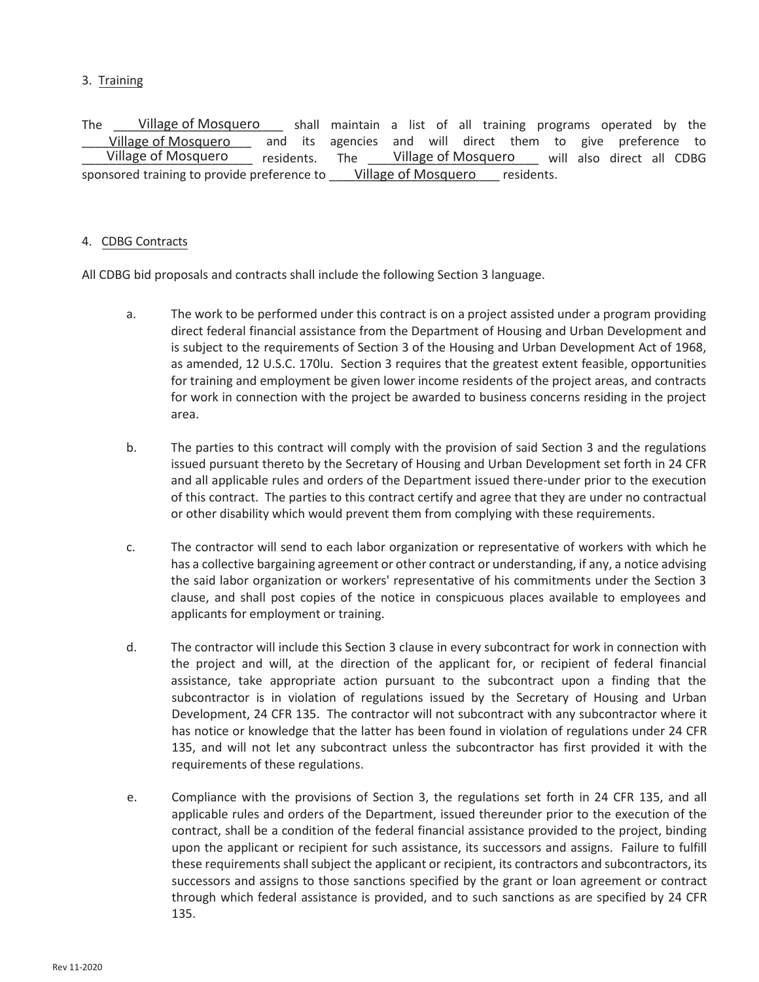## 3. Training

The Latis Village of Mosquero and shall maintain a list of all training programs operated by the and its agencies and will direct them to give preference to residents. The \_\_\_\_\_Village of Mosquero \_\_\_\_\_ will also direct all CDBG sponsored training to provide preference to <u>Willage of Mosquero</u> essidents. Village of Mosquero Village of Mosquero Village of Mosquero

# 4. CDBG Contracts

All CDBG bid proposals and contracts shall include the following Section 3 language.

- a. The work to be performed under this contract is on a project assisted under a program providing direct federal financial assistance from the Department of Housing and Urban Development and is subject to the requirements of Section 3 of the Housing and Urban Development Act of 1968, as amended, 12 U.S.C. 170lu. Section 3 requires that the greatest extent feasible, opportunities for training and employment be given lower income residents of the project areas, and contracts for work in connection with the project be awarded to business concerns residing in the project area.
- b. The parties to this contract will comply with the provision of said Section 3 and the regulations issued pursuant thereto by the Secretary of Housing and Urban Development set forth in 24 CFR and all applicable rules and orders of the Department issued there-under prior to the execution of this contract. The parties to this contract certify and agree that they are under no contractual or other disability which would prevent them from complying with these requirements.
- c. The contractor will send to each labor organization or representative of workers with which he has a collective bargaining agreement or other contract or understanding, if any, a notice advising the said labor organization or workers' representative of his commitments under the Section 3 clause, and shall post copies of the notice in conspicuous places available to employees and applicants for employment or training.
- d. The contractor will include this Section 3 clause in every subcontract for work in connection with the project and will, at the direction of the applicant for, or recipient of federal financial assistance, take appropriate action pursuant to the subcontract upon a finding that the subcontractor is in violation of regulations issued by the Secretary of Housing and Urban Development, 24 CFR 135. The contractor will not subcontract with any subcontractor where it has notice or knowledge that the latter has been found in violation of regulations under 24 CFR 135, and will not let any subcontract unless the subcontractor has first provided it with the requirements of these regulations.
- e. Compliance with the provisions of Section 3, the regulations set forth in 24 CFR 135, and all applicable rules and orders of the Department, issued thereunder prior to the execution of the contract, shall be a condition of the federal financial assistance provided to the project, binding upon the applicant or recipient for such assistance, its successors and assigns. Failure to fulfill these requirements shall subject the applicant or recipient, its contractors and subcontractors, its successors and assigns to those sanctions specified by the grant or loan agreement or contract through which federal assistance is provided, and to such sanctions as are specified by 24 CFR 135.